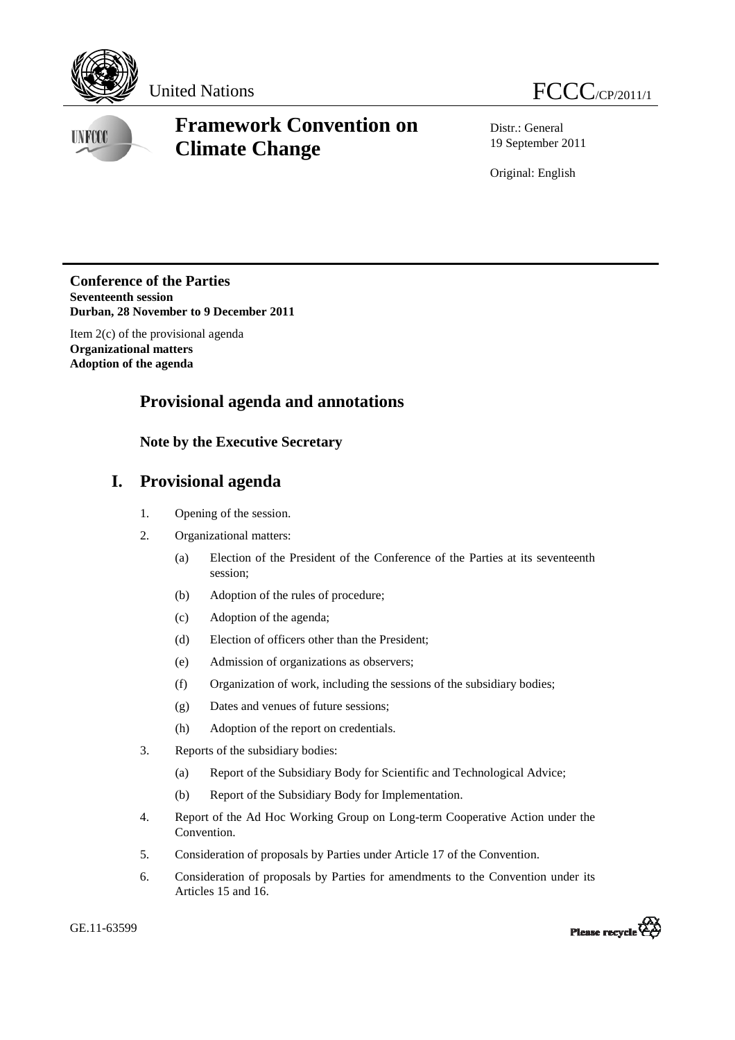

**UNFCCC** 

# **Framework Convention on Climate Change**

Distr.: General 19 September 2011

Original: English

**Conference of the Parties Seventeenth session Durban, 28 November to 9 December 2011** 

Item 2(c) of the provisional agenda **Organizational matters Adoption of the agenda** 

## **Provisional agenda and annotations**

### **Note by the Executive Secretary**

## **I. Provisional agenda**

- 1. Opening of the session.
- 2. Organizational matters:
	- (a) Election of the President of the Conference of the Parties at its seventeenth session;
	- (b) Adoption of the rules of procedure;
	- (c) Adoption of the agenda;
	- (d) Election of officers other than the President;
	- (e) Admission of organizations as observers;
	- (f) Organization of work, including the sessions of the subsidiary bodies;
	- (g) Dates and venues of future sessions;
	- (h) Adoption of the report on credentials.
- 3. Reports of the subsidiary bodies:
	- (a) Report of the Subsidiary Body for Scientific and Technological Advice;
	- (b) Report of the Subsidiary Body for Implementation.
- 4. Report of the Ad Hoc Working Group on Long-term Cooperative Action under the Convention.
- 5. Consideration of proposals by Parties under Article 17 of the Convention.
- 6. Consideration of proposals by Parties for amendments to the Convention under its Articles 15 and 16.

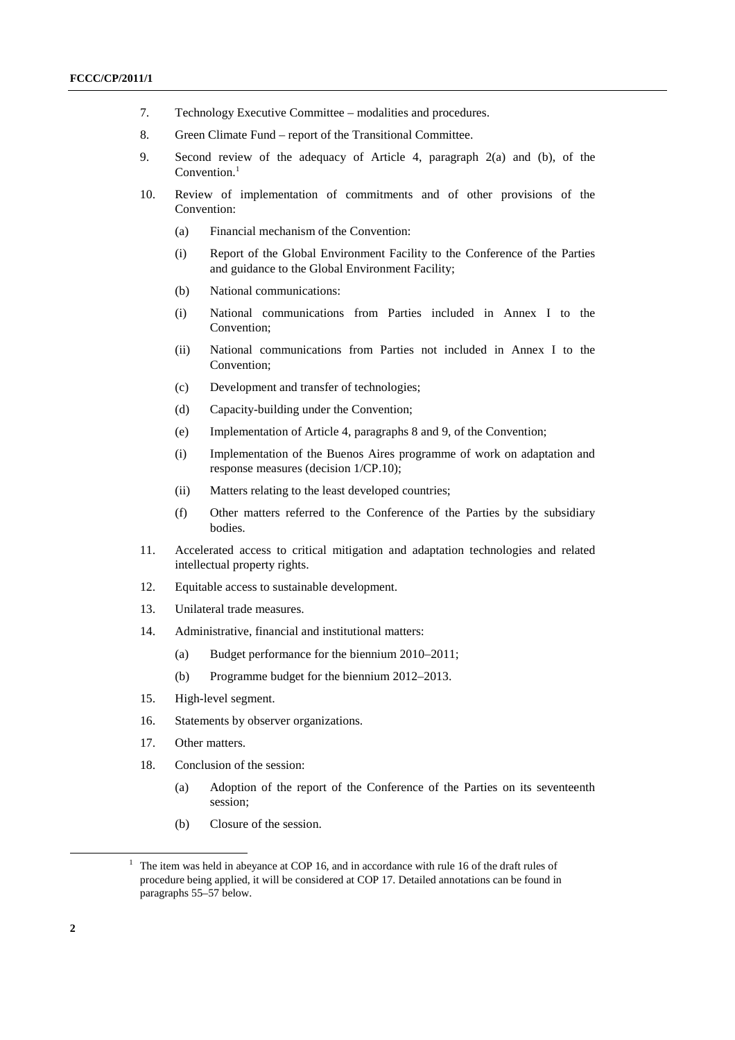- 7. Technology Executive Committee modalities and procedures.
- 8. Green Climate Fund report of the Transitional Committee.
- 9. Second review of the adequacy of Article 4, paragraph 2(a) and (b), of the Convention.<sup>1</sup>
- 10. Review of implementation of commitments and of other provisions of the Convention:
	- (a) Financial mechanism of the Convention:
	- (i) Report of the Global Environment Facility to the Conference of the Parties and guidance to the Global Environment Facility;
	- (b) National communications:
	- (i) National communications from Parties included in Annex I to the Convention;
	- (ii) National communications from Parties not included in Annex I to the Convention;
	- (c) Development and transfer of technologies;
	- (d) Capacity-building under the Convention;
	- (e) Implementation of Article 4, paragraphs 8 and 9, of the Convention;
	- (i) Implementation of the Buenos Aires programme of work on adaptation and response measures (decision 1/CP.10);
	- (ii) Matters relating to the least developed countries;
	- (f) Other matters referred to the Conference of the Parties by the subsidiary bodies.
- 11. Accelerated access to critical mitigation and adaptation technologies and related intellectual property rights.
- 12. Equitable access to sustainable development.
- 13. Unilateral trade measures.
- 14. Administrative, financial and institutional matters:
	- (a) Budget performance for the biennium 2010–2011;
	- (b) Programme budget for the biennium 2012–2013.
- 15. High-level segment.
- 16. Statements by observer organizations.
- 17. Other matters.
- 18. Conclusion of the session:
	- (a) Adoption of the report of the Conference of the Parties on its seventeenth session;
	- (b) Closure of the session.

<sup>&</sup>lt;u>1</u>  $1$  The item was held in abeyance at COP 16, and in accordance with rule 16 of the draft rules of procedure being applied, it will be considered at COP 17. Detailed annotations can be found in paragraphs 55–57 below.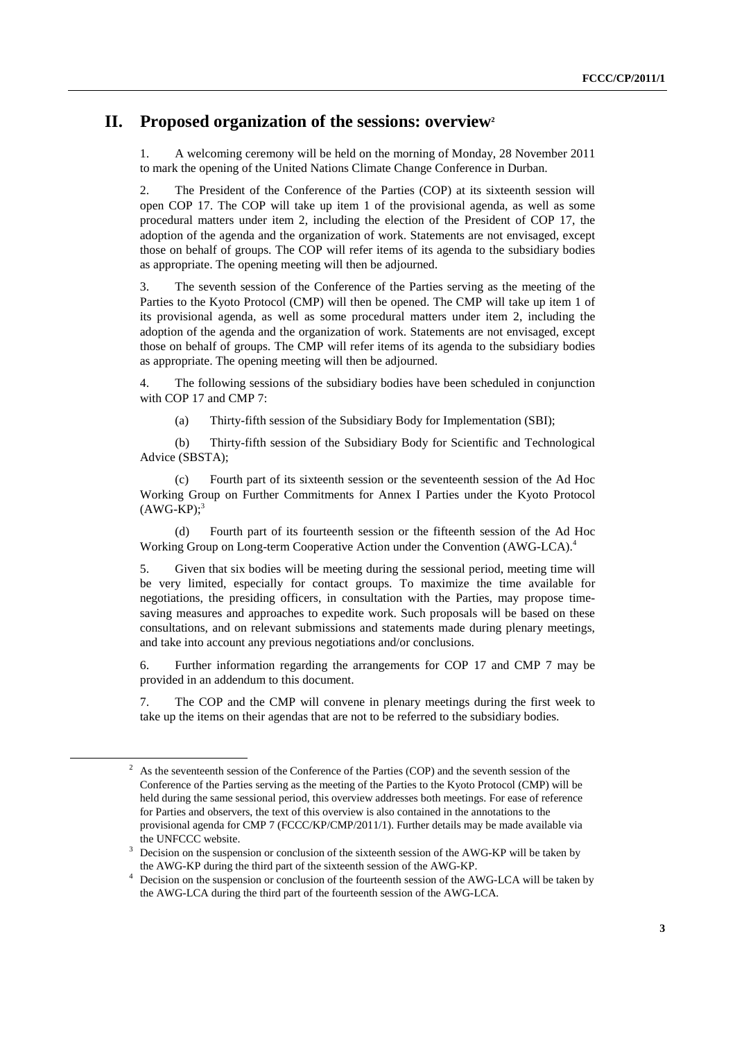## **II. Proposed organization of the sessions: overview2**

1. A welcoming ceremony will be held on the morning of Monday, 28 November 2011 to mark the opening of the United Nations Climate Change Conference in Durban.

2. The President of the Conference of the Parties (COP) at its sixteenth session will open COP 17. The COP will take up item 1 of the provisional agenda, as well as some procedural matters under item 2, including the election of the President of COP 17, the adoption of the agenda and the organization of work. Statements are not envisaged, except those on behalf of groups. The COP will refer items of its agenda to the subsidiary bodies as appropriate. The opening meeting will then be adjourned.

3. The seventh session of the Conference of the Parties serving as the meeting of the Parties to the Kyoto Protocol (CMP) will then be opened. The CMP will take up item 1 of its provisional agenda, as well as some procedural matters under item 2, including the adoption of the agenda and the organization of work. Statements are not envisaged, except those on behalf of groups. The CMP will refer items of its agenda to the subsidiary bodies as appropriate. The opening meeting will then be adjourned.

4. The following sessions of the subsidiary bodies have been scheduled in conjunction with COP 17 and CMP 7:

(a) Thirty-fifth session of the Subsidiary Body for Implementation (SBI);

 (b) Thirty-fifth session of the Subsidiary Body for Scientific and Technological Advice (SBSTA);

 (c) Fourth part of its sixteenth session or the seventeenth session of the Ad Hoc Working Group on Further Commitments for Annex I Parties under the Kyoto Protocol  $(AWG-KP);$ <sup>3</sup>

 (d) Fourth part of its fourteenth session or the fifteenth session of the Ad Hoc Working Group on Long-term Cooperative Action under the Convention (AWG-LCA).4

5. Given that six bodies will be meeting during the sessional period, meeting time will be very limited, especially for contact groups. To maximize the time available for negotiations, the presiding officers, in consultation with the Parties, may propose timesaving measures and approaches to expedite work. Such proposals will be based on these consultations, and on relevant submissions and statements made during plenary meetings, and take into account any previous negotiations and/or conclusions.

6. Further information regarding the arrangements for COP 17 and CMP 7 may be provided in an addendum to this document.

7. The COP and the CMP will convene in plenary meetings during the first week to take up the items on their agendas that are not to be referred to the subsidiary bodies.

 $\overline{\phantom{a}}$  As the seventeenth session of the Conference of the Parties (COP) and the seventh session of the Conference of the Parties serving as the meeting of the Parties to the Kyoto Protocol (CMP) will be held during the same sessional period, this overview addresses both meetings. For ease of reference for Parties and observers, the text of this overview is also contained in the annotations to the provisional agenda for CMP 7 (FCCC/KP/CMP/2011/1). Further details may be made available via the UNFCCC website.

Decision on the suspension or conclusion of the sixteenth session of the AWG-KP will be taken by the AWG-KP during the third part of the sixteenth session of the AWG-KP. 4

<sup>&</sup>lt;sup>4</sup> Decision on the suspension or conclusion of the fourteenth session of the AWG-LCA will be taken by the AWG-LCA during the third part of the fourteenth session of the AWG-LCA.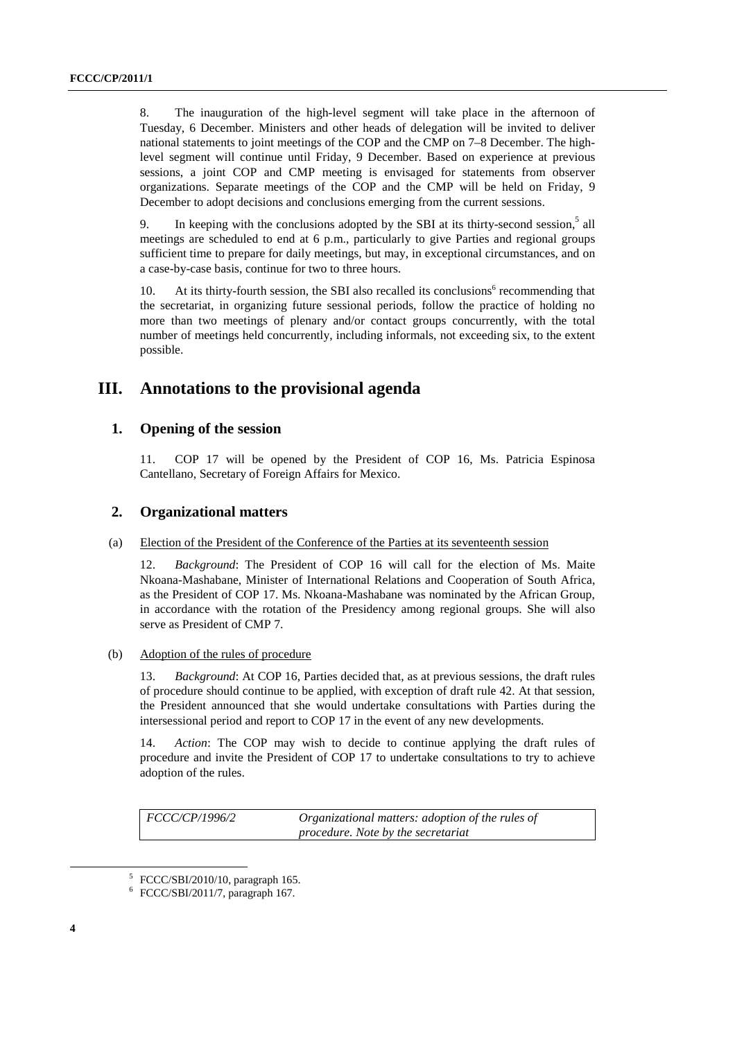8. The inauguration of the high-level segment will take place in the afternoon of Tuesday, 6 December. Ministers and other heads of delegation will be invited to deliver national statements to joint meetings of the COP and the CMP on 7–8 December. The highlevel segment will continue until Friday, 9 December. Based on experience at previous sessions, a joint COP and CMP meeting is envisaged for statements from observer organizations. Separate meetings of the COP and the CMP will be held on Friday, 9 December to adopt decisions and conclusions emerging from the current sessions.

9. In keeping with the conclusions adopted by the SBI at its thirty-second session,<sup>5</sup> all meetings are scheduled to end at 6 p.m., particularly to give Parties and regional groups sufficient time to prepare for daily meetings, but may, in exceptional circumstances, and on a case-by-case basis, continue for two to three hours.

10. At its thirty-fourth session, the SBI also recalled its conclusions<sup>6</sup> recommending that the secretariat, in organizing future sessional periods, follow the practice of holding no more than two meetings of plenary and/or contact groups concurrently, with the total number of meetings held concurrently, including informals, not exceeding six, to the extent possible.

## **III. Annotations to the provisional agenda**

### **1. Opening of the session**

11. COP 17 will be opened by the President of COP 16, Ms. Patricia Espinosa Cantellano, Secretary of Foreign Affairs for Mexico.

### **2. Organizational matters**

#### (a) Election of the President of the Conference of the Parties at its seventeenth session

12. *Background*: The President of COP 16 will call for the election of Ms. Maite Nkoana-Mashabane, Minister of International Relations and Cooperation of South Africa, as the President of COP 17. Ms. Nkoana-Mashabane was nominated by the African Group, in accordance with the rotation of the Presidency among regional groups. She will also serve as President of CMP 7.

#### (b) Adoption of the rules of procedure

13. *Background*: At COP 16, Parties decided that, as at previous sessions, the draft rules of procedure should continue to be applied, with exception of draft rule 42. At that session, the President announced that she would undertake consultations with Parties during the intersessional period and report to COP 17 in the event of any new developments.

14. *Action*: The COP may wish to decide to continue applying the draft rules of procedure and invite the President of COP 17 to undertake consultations to try to achieve adoption of the rules.

*FCCC/CP/1996/2 Organizational matters: adoption of the rules of procedure. Note by the secretariat* 

 $\overline{a}$ 

<sup>5</sup>  $5$  FCCC/SBI/2010/10, paragraph 165.

<sup>6</sup> FCCC/SBI/2011/7, paragraph 167.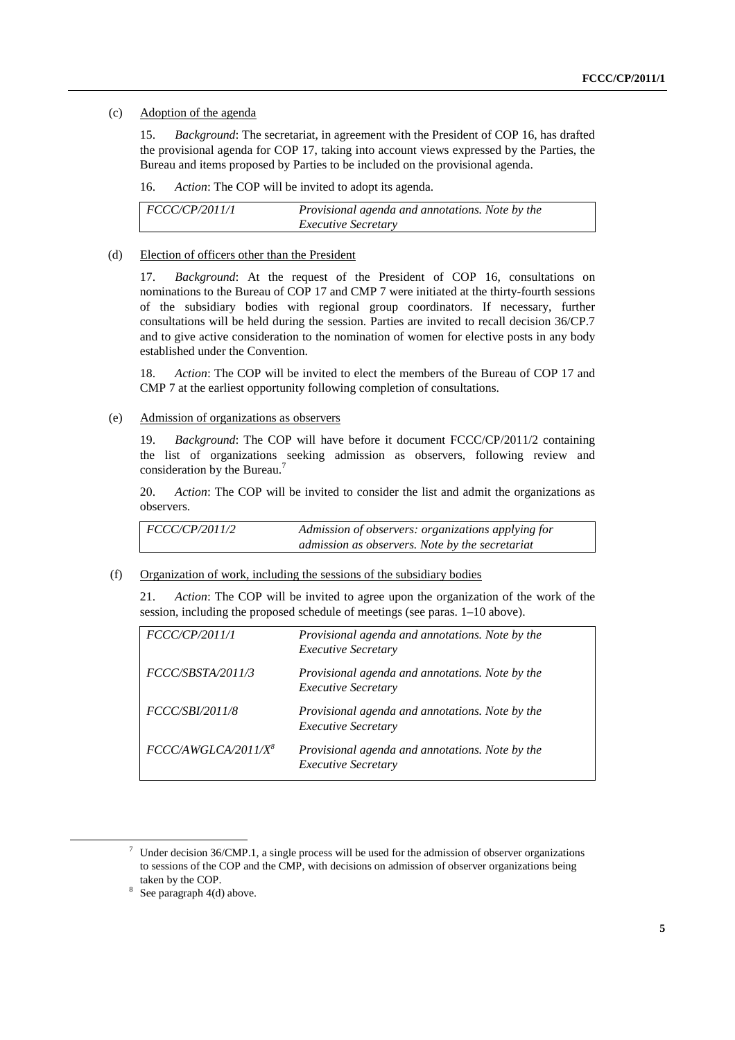#### (c) Adoption of the agenda

15. *Background*: The secretariat, in agreement with the President of COP 16, has drafted the provisional agenda for COP 17, taking into account views expressed by the Parties, the Bureau and items proposed by Parties to be included on the provisional agenda.

16. *Action*: The COP will be invited to adopt its agenda.

| FCCC/CP/2011/1 | Provisional agenda and annotations. Note by the |
|----------------|-------------------------------------------------|
|                | <i>Executive Secretary</i>                      |

#### (d) Election of officers other than the President

17. *Background*: At the request of the President of COP 16, consultations on nominations to the Bureau of COP 17 and CMP 7 were initiated at the thirty-fourth sessions of the subsidiary bodies with regional group coordinators. If necessary, further consultations will be held during the session. Parties are invited to recall decision 36/CP.7 and to give active consideration to the nomination of women for elective posts in any body established under the Convention.

18. *Action*: The COP will be invited to elect the members of the Bureau of COP 17 and CMP 7 at the earliest opportunity following completion of consultations.

#### (e) Admission of organizations as observers

19. *Background*: The COP will have before it document FCCC/CP/2011/2 containing the list of organizations seeking admission as observers, following review and consideration by the Bureau.<sup>7</sup>

20. *Action*: The COP will be invited to consider the list and admit the organizations as observers.

*FCCC/CP/2011/2 Admission of observers: organizations applying for admission as observers. Note by the secretariat* 

#### (f) Organization of work, including the sessions of the subsidiary bodies

21. *Action*: The COP will be invited to agree upon the organization of the work of the session, including the proposed schedule of meetings (see paras. 1–10 above).

| <i>FCCC/CP/2011/1</i>           | Provisional agenda and annotations. Note by the<br><b>Executive Secretary</b> |
|---------------------------------|-------------------------------------------------------------------------------|
| FCCC/SBSTA/2011/3               | Provisional agenda and annotations. Note by the<br><b>Executive Secretary</b> |
| <i>FCCC/SBI/2011/8</i>          | Provisional agenda and annotations. Note by the<br><b>Executive Secretary</b> |
| FCCC/AWGLCA/2011/X <sup>8</sup> | Provisional agenda and annotations. Note by the<br><b>Executive Secretary</b> |

 <sup>7</sup>  $\frac{7}{1}$  Under decision 36/CMP.1, a single process will be used for the admission of observer organizations to sessions of the COP and the CMP, with decisions on admission of observer organizations being taken by the COP.<br> $\frac{8}{5}$  See parametrical d(d)

See paragraph 4(d) above.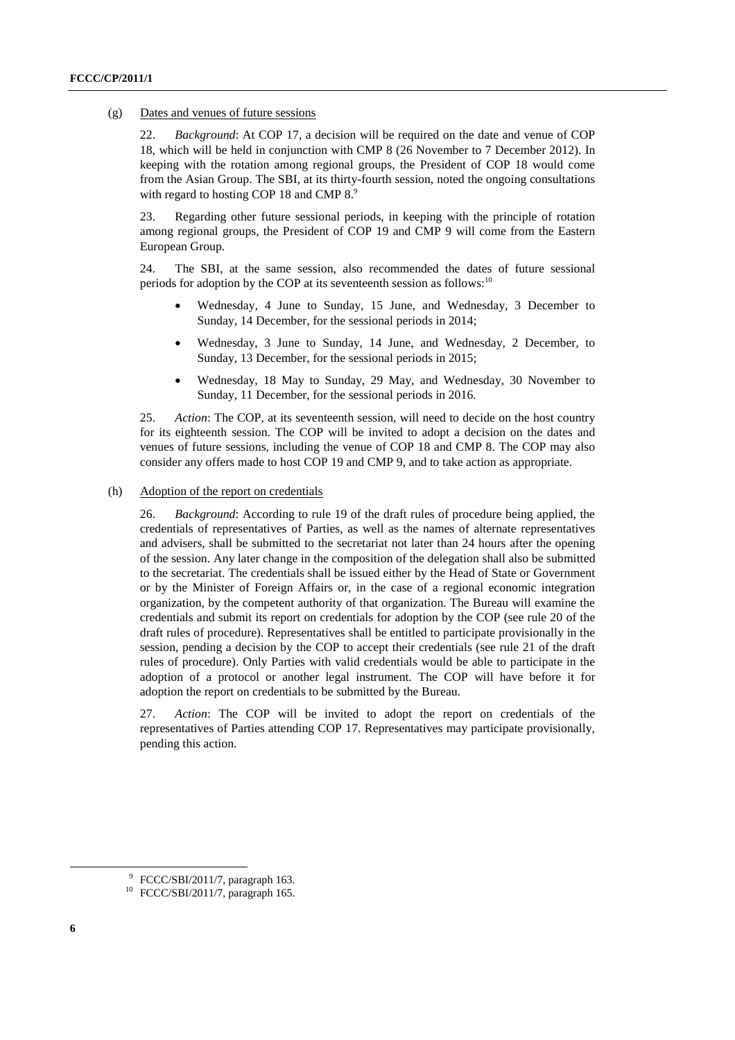#### (g) Dates and venues of future sessions

22. *Background*: At COP 17, a decision will be required on the date and venue of COP 18, which will be held in conjunction with CMP 8 (26 November to 7 December 2012). In keeping with the rotation among regional groups, the President of COP 18 would come from the Asian Group. The SBI, at its thirty-fourth session, noted the ongoing consultations with regard to hosting COP 18 and CMP 8.<sup>9</sup>

23. Regarding other future sessional periods, in keeping with the principle of rotation among regional groups, the President of COP 19 and CMP 9 will come from the Eastern European Group.

24. The SBI, at the same session, also recommended the dates of future sessional periods for adoption by the COP at its seventeenth session as follows:<sup>10</sup>

- Wednesday, 4 June to Sunday, 15 June, and Wednesday, 3 December to Sunday, 14 December, for the sessional periods in 2014;
- Wednesday, 3 June to Sunday, 14 June, and Wednesday, 2 December, to Sunday, 13 December, for the sessional periods in 2015;
- Wednesday, 18 May to Sunday, 29 May, and Wednesday, 30 November to Sunday, 11 December, for the sessional periods in 2016.

25. *Action*: The COP, at its seventeenth session, will need to decide on the host country for its eighteenth session. The COP will be invited to adopt a decision on the dates and venues of future sessions, including the venue of COP 18 and CMP 8. The COP may also consider any offers made to host COP 19 and CMP 9, and to take action as appropriate.

#### (h) Adoption of the report on credentials

26. *Background*: According to rule 19 of the draft rules of procedure being applied, the credentials of representatives of Parties, as well as the names of alternate representatives and advisers, shall be submitted to the secretariat not later than 24 hours after the opening of the session. Any later change in the composition of the delegation shall also be submitted to the secretariat. The credentials shall be issued either by the Head of State or Government or by the Minister of Foreign Affairs or, in the case of a regional economic integration organization, by the competent authority of that organization. The Bureau will examine the credentials and submit its report on credentials for adoption by the COP (see rule 20 of the draft rules of procedure). Representatives shall be entitled to participate provisionally in the session, pending a decision by the COP to accept their credentials (see rule 21 of the draft rules of procedure). Only Parties with valid credentials would be able to participate in the adoption of a protocol or another legal instrument. The COP will have before it for adoption the report on credentials to be submitted by the Bureau.

27. *Action*: The COP will be invited to adopt the report on credentials of the representatives of Parties attending COP 17. Representatives may participate provisionally, pending this action.

 <sup>9</sup>  $9$  FCCC/SBI/2011/7, paragraph 163.

<sup>10</sup> FCCC/SBI/2011/7, paragraph 165.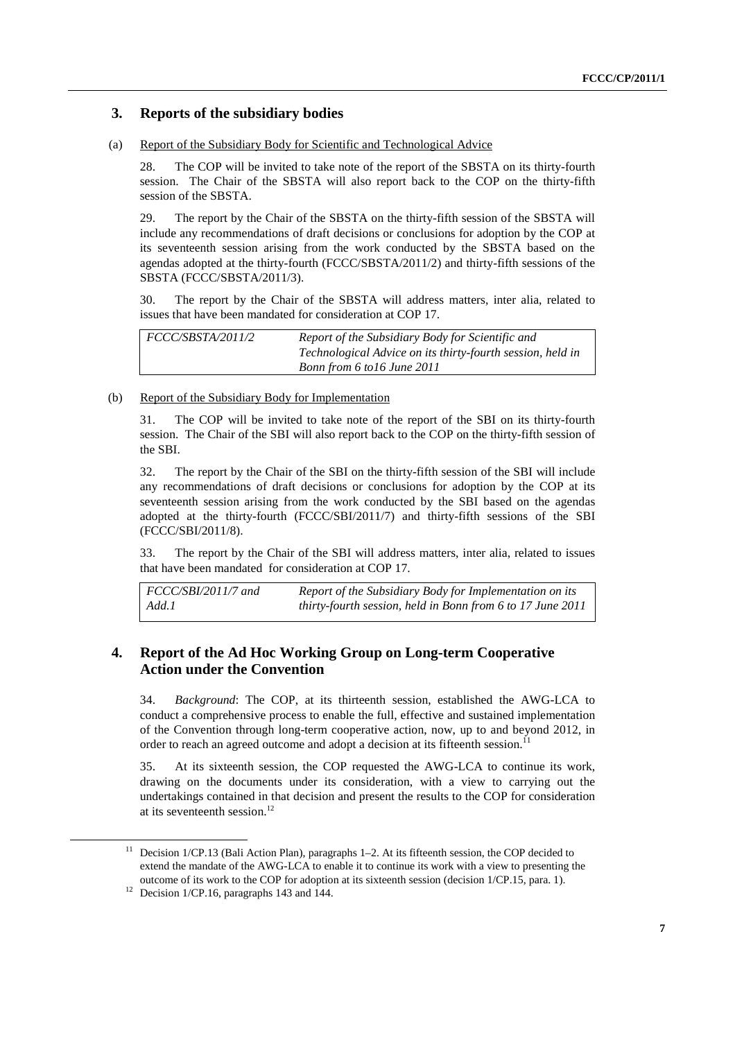### **3. Reports of the subsidiary bodies**

#### (a) Report of the Subsidiary Body for Scientific and Technological Advice

28. The COP will be invited to take note of the report of the SBSTA on its thirty-fourth session. The Chair of the SBSTA will also report back to the COP on the thirty-fifth session of the SBSTA.

29. The report by the Chair of the SBSTA on the thirty-fifth session of the SBSTA will include any recommendations of draft decisions or conclusions for adoption by the COP at its seventeenth session arising from the work conducted by the SBSTA based on the agendas adopted at the thirty-fourth (FCCC/SBSTA/2011/2) and thirty-fifth sessions of the SBSTA (FCCC/SBSTA/2011/3).

30. The report by the Chair of the SBSTA will address matters, inter alia, related to issues that have been mandated for consideration at COP 17.

| FCCC/SBSTA/2011/2 | Report of the Subsidiary Body for Scientific and           |
|-------------------|------------------------------------------------------------|
|                   | Technological Advice on its thirty-fourth session, held in |
|                   | Bonn from 6 to 16 June 2011                                |

### (b) Report of the Subsidiary Body for Implementation

31. The COP will be invited to take note of the report of the SBI on its thirty-fourth session. The Chair of the SBI will also report back to the COP on the thirty-fifth session of the SBI.

32. The report by the Chair of the SBI on the thirty-fifth session of the SBI will include any recommendations of draft decisions or conclusions for adoption by the COP at its seventeenth session arising from the work conducted by the SBI based on the agendas adopted at the thirty-fourth (FCCC/SBI/2011/7) and thirty-fifth sessions of the SBI (FCCC/SBI/2011/8).

33. The report by the Chair of the SBI will address matters, inter alia, related to issues that have been mandated for consideration at COP 17.

| $\vert$ FCCC/SBI/2011/7 and | Report of the Subsidiary Body for Implementation on its    |
|-----------------------------|------------------------------------------------------------|
| Add.1                       | thirty-fourth session, held in Bonn from 6 to 17 June 2011 |

### **4. Report of the Ad Hoc Working Group on Long-term Cooperative Action under the Convention**

34. *Background*: The COP, at its thirteenth session, established the AWG-LCA to conduct a comprehensive process to enable the full, effective and sustained implementation of the Convention through long-term cooperative action, now, up to and beyond 2012, in order to reach an agreed outcome and adopt a decision at its fifteenth session.<sup>1</sup>

35. At its sixteenth session, the COP requested the AWG-LCA to continue its work, drawing on the documents under its consideration, with a view to carrying out the undertakings contained in that decision and present the results to the COP for consideration at its seventeenth session.<sup>12</sup>

<sup>&</sup>lt;sup>11</sup> Decision 1/CP.13 (Bali Action Plan), paragraphs 1–2. At its fifteenth session, the COP decided to extend the mandate of the AWG-LCA to enable it to continue its work with a view to presenting the outcome of its work to the COP for adoption at its sixteenth session (decision 1/CP.15, para. 1). 12 Decision 1/CP.16, paragraphs 143 and 144.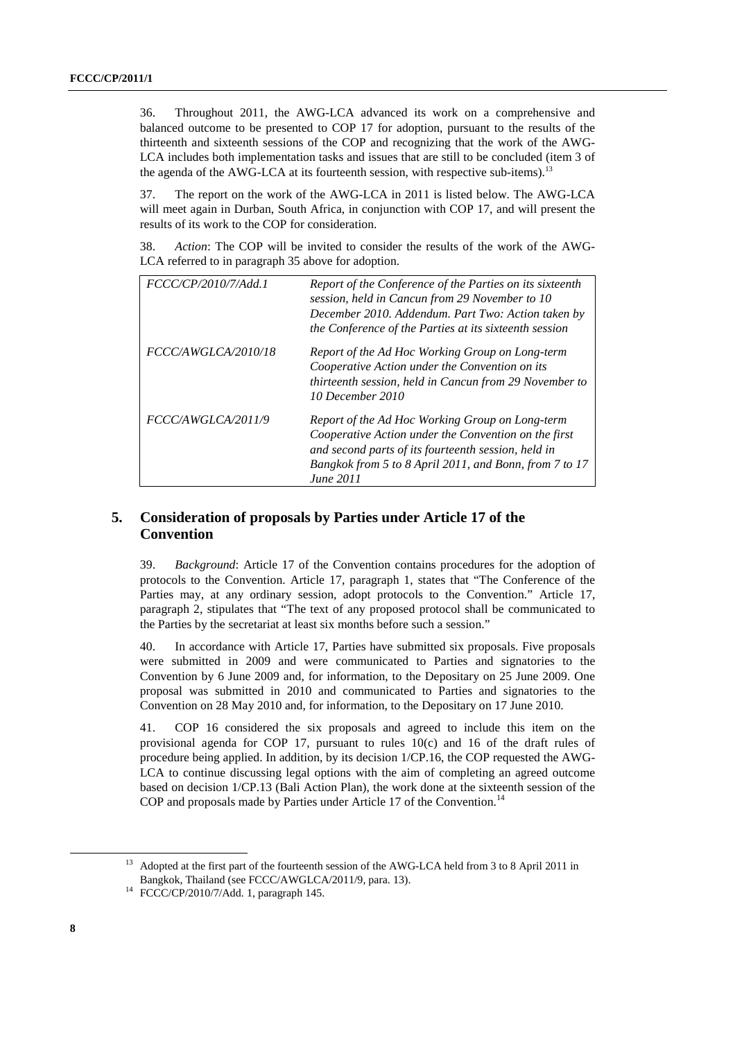36. Throughout 2011, the AWG-LCA advanced its work on a comprehensive and balanced outcome to be presented to COP 17 for adoption, pursuant to the results of the thirteenth and sixteenth sessions of the COP and recognizing that the work of the AWG-LCA includes both implementation tasks and issues that are still to be concluded (item 3 of the agenda of the AWG-LCA at its fourteenth session, with respective sub-items).<sup>13</sup>

37. The report on the work of the AWG-LCA in 2011 is listed below. The AWG-LCA will meet again in Durban, South Africa, in conjunction with COP 17, and will present the results of its work to the COP for consideration.

38. *Action*: The COP will be invited to consider the results of the work of the AWG-LCA referred to in paragraph 35 above for adoption.

| FCCC/CP/2010/7/Add.1 | Report of the Conference of the Parties on its sixteenth<br>session, held in Cancun from 29 November to 10<br>December 2010. Addendum. Part Two: Action taken by<br>the Conference of the Parties at its sixteenth session            |
|----------------------|---------------------------------------------------------------------------------------------------------------------------------------------------------------------------------------------------------------------------------------|
| FCCC/AWGLCA/2010/18  | Report of the Ad Hoc Working Group on Long-term<br>Cooperative Action under the Convention on its<br>thirteenth session, held in Cancun from 29 November to<br>10 December 2010                                                       |
| FCCC/AWGLCA/2011/9   | Report of the Ad Hoc Working Group on Long-term<br>Cooperative Action under the Convention on the first<br>and second parts of its fourteenth session, held in<br>Bangkok from 5 to 8 April 2011, and Bonn, from 7 to 17<br>June 2011 |

### **5. Consideration of proposals by Parties under Article 17 of the Convention**

39. *Background*: Article 17 of the Convention contains procedures for the adoption of protocols to the Convention. Article 17, paragraph 1, states that "The Conference of the Parties may, at any ordinary session, adopt protocols to the Convention." Article 17, paragraph 2, stipulates that "The text of any proposed protocol shall be communicated to the Parties by the secretariat at least six months before such a session."

40. In accordance with Article 17, Parties have submitted six proposals. Five proposals were submitted in 2009 and were communicated to Parties and signatories to the Convention by 6 June 2009 and, for information, to the Depositary on 25 June 2009. One proposal was submitted in 2010 and communicated to Parties and signatories to the Convention on 28 May 2010 and, for information, to the Depositary on 17 June 2010.

41. COP 16 considered the six proposals and agreed to include this item on the provisional agenda for COP 17, pursuant to rules 10(c) and 16 of the draft rules of procedure being applied. In addition, by its decision 1/CP.16, the COP requested the AWG-LCA to continue discussing legal options with the aim of completing an agreed outcome based on decision 1/CP.13 (Bali Action Plan), the work done at the sixteenth session of the COP and proposals made by Parties under Article 17 of the Convention.<sup>14</sup>

<sup>&</sup>lt;sup>13</sup> Adopted at the first part of the fourteenth session of the AWG-LCA held from 3 to 8 April 2011 in Bangkok, Thailand (see FCCC/AWGLCA/2011/9, para. 13). 14 FCCC/CP/2010/7/Add. 1, paragraph 145.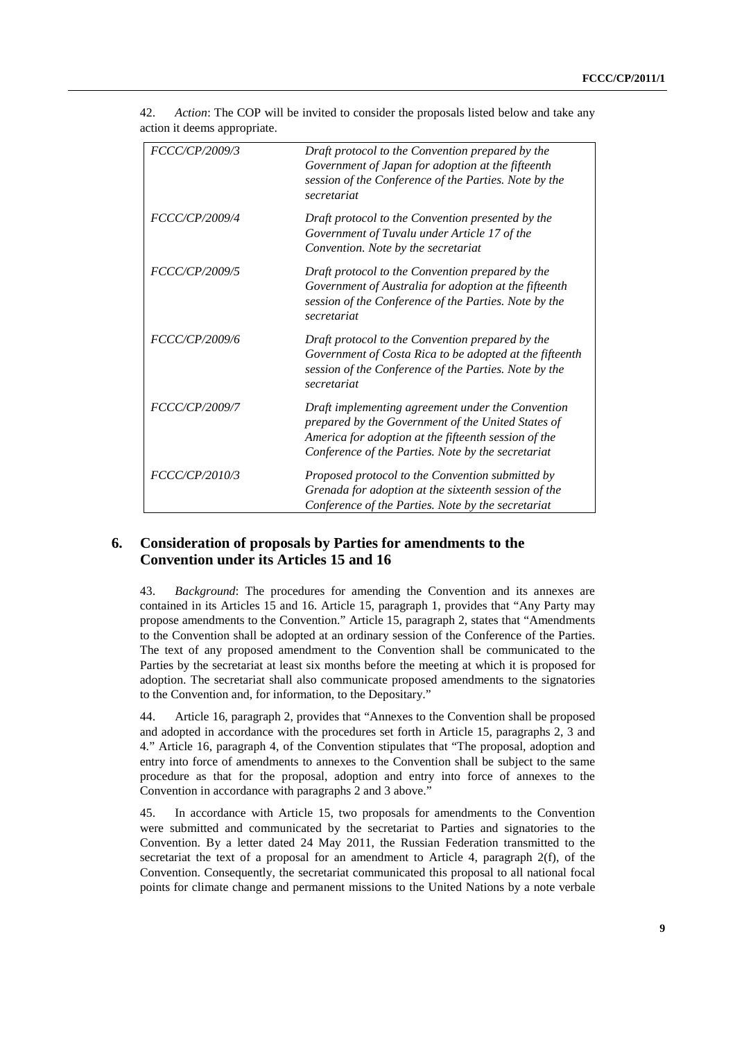| FCCC/CP/2009/3 | Draft protocol to the Convention prepared by the<br>Government of Japan for adoption at the fifteenth<br>session of the Conference of the Parties. Note by the<br>secretariat                                         |
|----------------|-----------------------------------------------------------------------------------------------------------------------------------------------------------------------------------------------------------------------|
| FCCC/CP/2009/4 | Draft protocol to the Convention presented by the<br>Government of Tuvalu under Article 17 of the<br>Convention. Note by the secretariat                                                                              |
| FCCC/CP/2009/5 | Draft protocol to the Convention prepared by the<br>Government of Australia for adoption at the fifteenth<br>session of the Conference of the Parties. Note by the<br>secretariat                                     |
| FCCC/CP/2009/6 | Draft protocol to the Convention prepared by the<br>Government of Costa Rica to be adopted at the fifteenth<br>session of the Conference of the Parties. Note by the<br>secretariat                                   |
| FCCC/CP/2009/7 | Draft implementing agreement under the Convention<br>prepared by the Government of the United States of<br>America for adoption at the fifteenth session of the<br>Conference of the Parties. Note by the secretariat |
| FCCC/CP/2010/3 | Proposed protocol to the Convention submitted by<br>Grenada for adoption at the sixteenth session of the<br>Conference of the Parties. Note by the secretariat                                                        |

42. *Action*: The COP will be invited to consider the proposals listed below and take any action it deems appropriate.

### **6. Consideration of proposals by Parties for amendments to the Convention under its Articles 15 and 16**

43. *Background*: The procedures for amending the Convention and its annexes are contained in its Articles 15 and 16. Article 15, paragraph 1, provides that "Any Party may propose amendments to the Convention." Article 15, paragraph 2, states that "Amendments to the Convention shall be adopted at an ordinary session of the Conference of the Parties. The text of any proposed amendment to the Convention shall be communicated to the Parties by the secretariat at least six months before the meeting at which it is proposed for adoption. The secretariat shall also communicate proposed amendments to the signatories to the Convention and, for information, to the Depositary."

44. Article 16, paragraph 2, provides that "Annexes to the Convention shall be proposed and adopted in accordance with the procedures set forth in Article 15, paragraphs 2, 3 and 4." Article 16, paragraph 4, of the Convention stipulates that "The proposal, adoption and entry into force of amendments to annexes to the Convention shall be subject to the same procedure as that for the proposal, adoption and entry into force of annexes to the Convention in accordance with paragraphs 2 and 3 above."

45. In accordance with Article 15, two proposals for amendments to the Convention were submitted and communicated by the secretariat to Parties and signatories to the Convention. By a letter dated 24 May 2011, the Russian Federation transmitted to the secretariat the text of a proposal for an amendment to Article 4, paragraph 2(f), of the Convention. Consequently, the secretariat communicated this proposal to all national focal points for climate change and permanent missions to the United Nations by a note verbale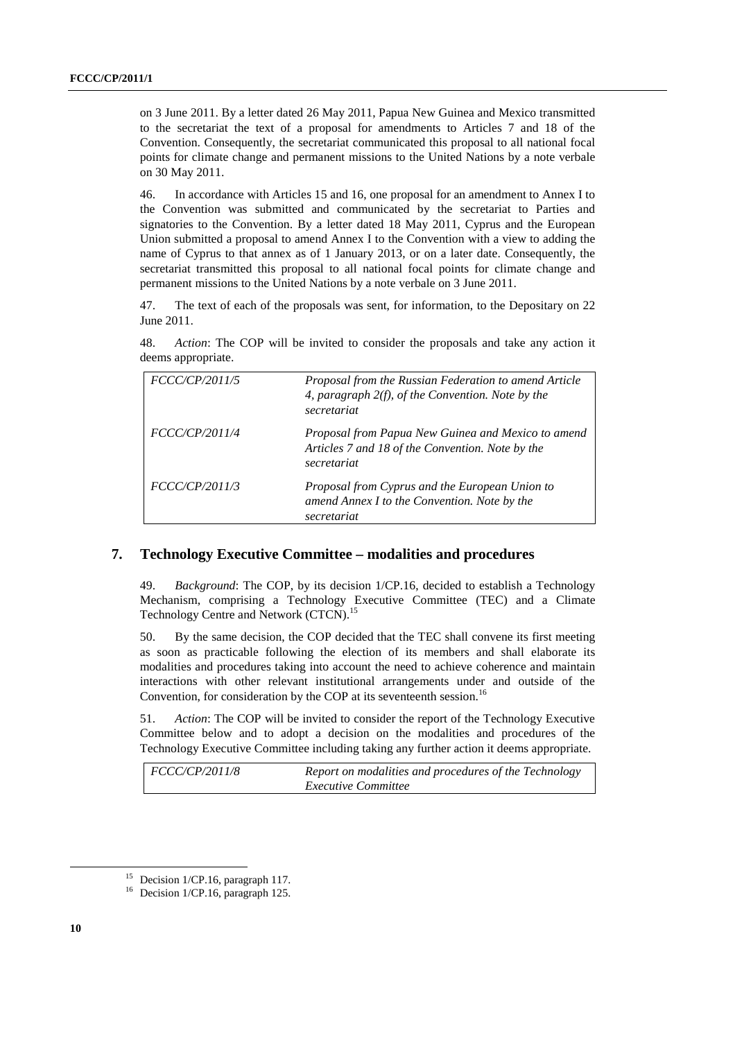on 3 June 2011. By a letter dated 26 May 2011, Papua New Guinea and Mexico transmitted to the secretariat the text of a proposal for amendments to Articles 7 and 18 of the Convention. Consequently, the secretariat communicated this proposal to all national focal points for climate change and permanent missions to the United Nations by a note verbale on 30 May 2011.

46. In accordance with Articles 15 and 16, one proposal for an amendment to Annex I to the Convention was submitted and communicated by the secretariat to Parties and signatories to the Convention. By a letter dated 18 May 2011, Cyprus and the European Union submitted a proposal to amend Annex I to the Convention with a view to adding the name of Cyprus to that annex as of 1 January 2013, or on a later date. Consequently, the secretariat transmitted this proposal to all national focal points for climate change and permanent missions to the United Nations by a note verbale on 3 June 2011.

47. The text of each of the proposals was sent, for information, to the Depositary on 22 June 2011.

48. *Action*: The COP will be invited to consider the proposals and take any action it deems appropriate.

| <i>FCCC/CP/2011/5</i> | Proposal from the Russian Federation to amend Article<br>4, paragraph $2(f)$ , of the Convention. Note by the<br>secretariat |
|-----------------------|------------------------------------------------------------------------------------------------------------------------------|
| <i>FCCC/CP/2011/4</i> | Proposal from Papua New Guinea and Mexico to amend<br>Articles 7 and 18 of the Convention. Note by the<br>secretariat        |
| <i>FCCC/CP/2011/3</i> | Proposal from Cyprus and the European Union to<br>amend Annex I to the Convention. Note by the<br>secretariat                |

#### **7. Technology Executive Committee – modalities and procedures**

49. *Background*: The COP, by its decision 1/CP.16, decided to establish a Technology Mechanism, comprising a Technology Executive Committee (TEC) and a Climate Technology Centre and Network (CTCN).<sup>15</sup>

50. By the same decision, the COP decided that the TEC shall convene its first meeting as soon as practicable following the election of its members and shall elaborate its modalities and procedures taking into account the need to achieve coherence and maintain interactions with other relevant institutional arrangements under and outside of the Convention, for consideration by the COP at its seventeenth session.<sup>16</sup>

51. *Action*: The COP will be invited to consider the report of the Technology Executive Committee below and to adopt a decision on the modalities and procedures of the Technology Executive Committee including taking any further action it deems appropriate.

| <i>FCCC/CP/2011/8</i> | Report on modalities and procedures of the Technology |
|-----------------------|-------------------------------------------------------|
|                       | <i>Executive Committee</i>                            |

<sup>&</sup>lt;sup>15</sup> Decision 1/CP.16, paragraph 117.

<sup>&</sup>lt;sup>16</sup> Decision 1/CP.16, paragraph 125.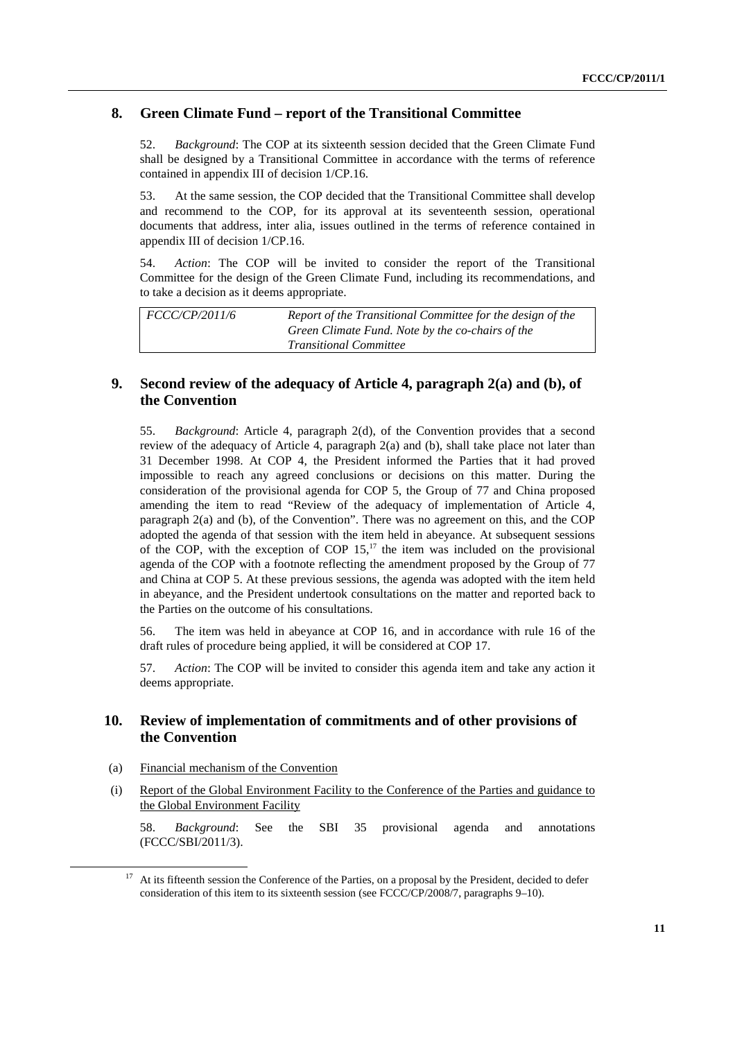### **8. Green Climate Fund – report of the Transitional Committee**

52. *Background*: The COP at its sixteenth session decided that the Green Climate Fund shall be designed by a Transitional Committee in accordance with the terms of reference contained in appendix III of decision 1/CP.16.

53. At the same session, the COP decided that the Transitional Committee shall develop and recommend to the COP, for its approval at its seventeenth session, operational documents that address, inter alia, issues outlined in the terms of reference contained in appendix III of decision 1/CP.16.

54. *Action*: The COP will be invited to consider the report of the Transitional Committee for the design of the Green Climate Fund, including its recommendations, and to take a decision as it deems appropriate.

| <i>FCCC/CP/2011/6</i> | Report of the Transitional Committee for the design of the<br>Green Climate Fund. Note by the co-chairs of the |
|-----------------------|----------------------------------------------------------------------------------------------------------------|
|                       | <i>Transitional Committee</i>                                                                                  |

### **9. Second review of the adequacy of Article 4, paragraph 2(a) and (b), of the Convention**

55. *Background*: Article 4, paragraph 2(d), of the Convention provides that a second review of the adequacy of Article 4, paragraph 2(a) and (b), shall take place not later than 31 December 1998. At COP 4, the President informed the Parties that it had proved impossible to reach any agreed conclusions or decisions on this matter. During the consideration of the provisional agenda for COP 5, the Group of 77 and China proposed amending the item to read "Review of the adequacy of implementation of Article 4, paragraph 2(a) and (b), of the Convention". There was no agreement on this, and the COP adopted the agenda of that session with the item held in abeyance. At subsequent sessions of the COP, with the exception of COP  $15$ ,<sup>17</sup> the item was included on the provisional agenda of the COP with a footnote reflecting the amendment proposed by the Group of 77 and China at COP 5. At these previous sessions, the agenda was adopted with the item held in abeyance, and the President undertook consultations on the matter and reported back to the Parties on the outcome of his consultations.

56. The item was held in abeyance at COP 16, and in accordance with rule 16 of the draft rules of procedure being applied, it will be considered at COP 17.

57. *Action*: The COP will be invited to consider this agenda item and take any action it deems appropriate.

### **10. Review of implementation of commitments and of other provisions of the Convention**

- (a) Financial mechanism of the Convention
- (i) Report of the Global Environment Facility to the Conference of the Parties and guidance to the Global Environment Facility

58. *Background*: See the SBI 35 provisional agenda and annotations (FCCC/SBI/2011/3).

At its fifteenth session the Conference of the Parties, on a proposal by the President, decided to defer consideration of this item to its sixteenth session (see FCCC/CP/2008/7, paragraphs 9–10).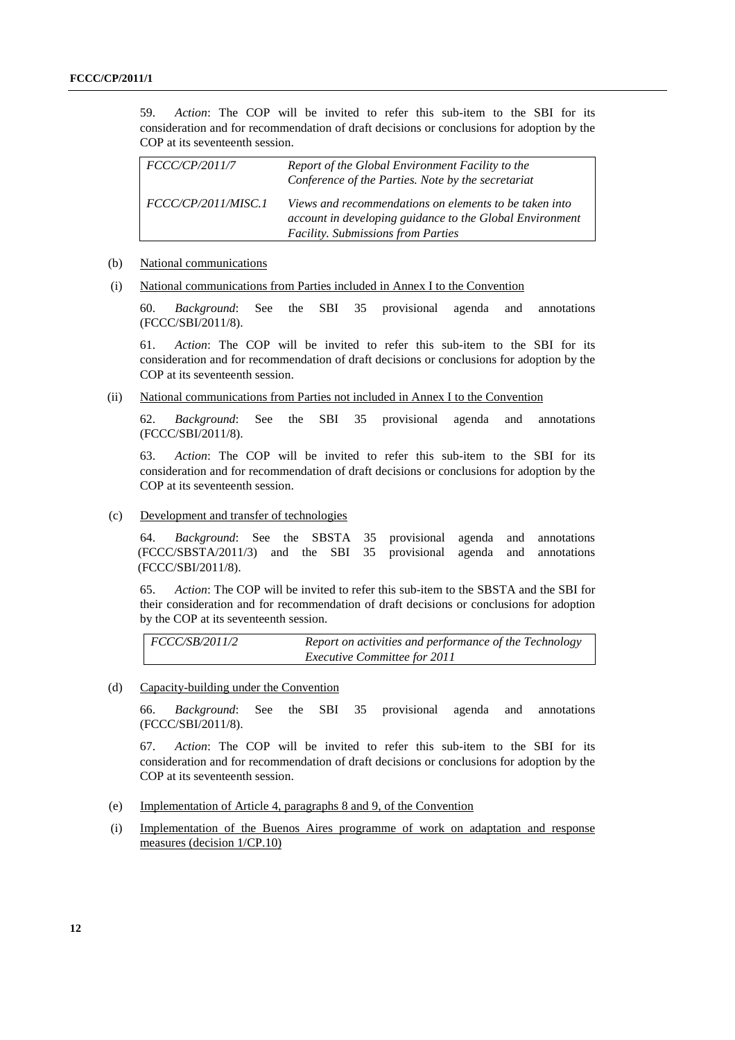59. *Action*: The COP will be invited to refer this sub-item to the SBI for its consideration and for recommendation of draft decisions or conclusions for adoption by the COP at its seventeenth session.

| <i>FCCC/CP/2011/7</i> | Report of the Global Environment Facility to the<br>Conference of the Parties. Note by the secretariat                                                   |
|-----------------------|----------------------------------------------------------------------------------------------------------------------------------------------------------|
| FCCC/CP/2011/MISC.1   | Views and recommendations on elements to be taken into<br>account in developing guidance to the Global Environment<br>Facility. Submissions from Parties |

#### (b) National communications

(i) National communications from Parties included in Annex I to the Convention

60. *Background*: See the SBI 35 provisional agenda and annotations (FCCC/SBI/2011/8).

61. *Action*: The COP will be invited to refer this sub-item to the SBI for its consideration and for recommendation of draft decisions or conclusions for adoption by the COP at its seventeenth session.

(ii) National communications from Parties not included in Annex I to the Convention

62. *Background*: See the SBI 35 provisional agenda and annotations (FCCC/SBI/2011/8).

63. *Action*: The COP will be invited to refer this sub-item to the SBI for its consideration and for recommendation of draft decisions or conclusions for adoption by the COP at its seventeenth session.

(c) Development and transfer of technologies

64. *Background*: See the SBSTA 35 provisional agenda and annotations (FCCC/SBSTA/2011/3) and the SBI 35 provisional agenda and annotations (FCCC/SBI/2011/8).

65. *Action*: The COP will be invited to refer this sub-item to the SBSTA and the SBI for their consideration and for recommendation of draft decisions or conclusions for adoption by the COP at its seventeenth session.

*FCCC/SB/2011/2 Report on activities and performance of the Technology Executive Committee for 2011* 

(d) Capacity-building under the Convention

66. *Background*: See the SBI 35 provisional agenda and annotations (FCCC/SBI/2011/8).

67. *Action*: The COP will be invited to refer this sub-item to the SBI for its consideration and for recommendation of draft decisions or conclusions for adoption by the COP at its seventeenth session.

- (e) Implementation of Article 4, paragraphs 8 and 9, of the Convention
- (i) Implementation of the Buenos Aires programme of work on adaptation and response measures (decision 1/CP.10)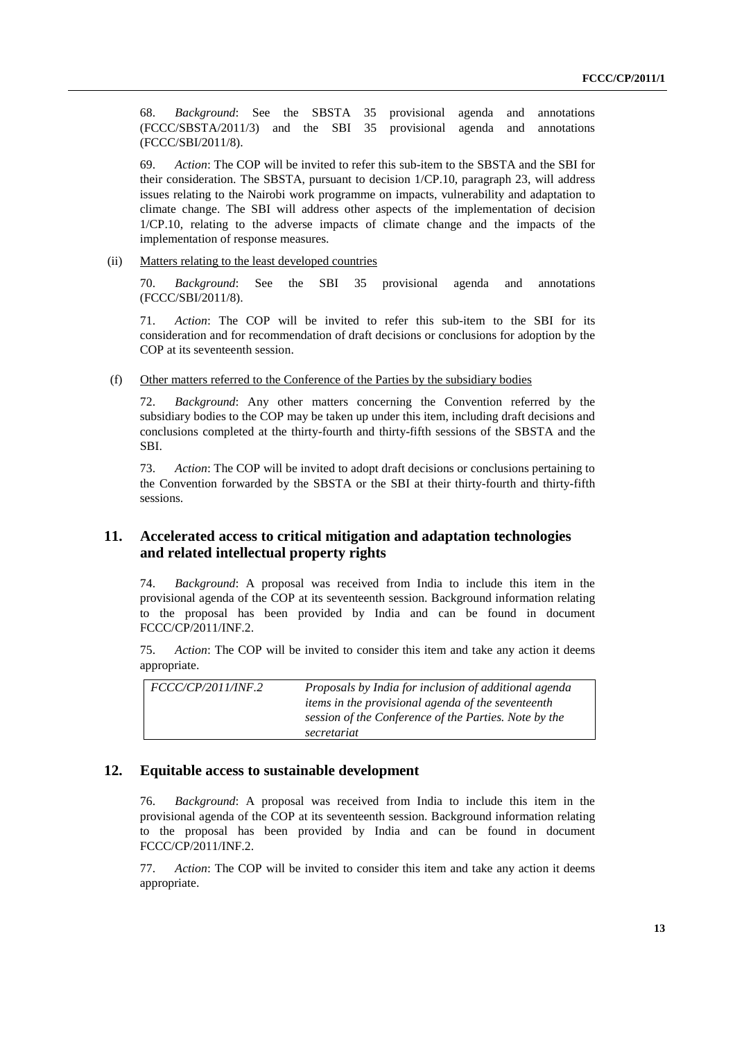68. *Background*: See the SBSTA 35 provisional agenda and annotations (FCCC/SBSTA/2011/3) and the SBI 35 provisional agenda and annotations (FCCC/SBI/2011/8).

69. *Action*: The COP will be invited to refer this sub-item to the SBSTA and the SBI for their consideration. The SBSTA, pursuant to decision 1/CP.10, paragraph 23, will address issues relating to the Nairobi work programme on impacts, vulnerability and adaptation to climate change. The SBI will address other aspects of the implementation of decision 1/CP.10, relating to the adverse impacts of climate change and the impacts of the implementation of response measures.

(ii) Matters relating to the least developed countries

70. *Background*: See the SBI 35 provisional agenda and annotations (FCCC/SBI/2011/8).

71. *Action*: The COP will be invited to refer this sub-item to the SBI for its consideration and for recommendation of draft decisions or conclusions for adoption by the COP at its seventeenth session.

(f) Other matters referred to the Conference of the Parties by the subsidiary bodies

72. *Background*: Any other matters concerning the Convention referred by the subsidiary bodies to the COP may be taken up under this item, including draft decisions and conclusions completed at the thirty-fourth and thirty-fifth sessions of the SBSTA and the SBI.

73. *Action*: The COP will be invited to adopt draft decisions or conclusions pertaining to the Convention forwarded by the SBSTA or the SBI at their thirty-fourth and thirty-fifth sessions.

### **11. Accelerated access to critical mitigation and adaptation technologies and related intellectual property rights**

74. *Background*: A proposal was received from India to include this item in the provisional agenda of the COP at its seventeenth session. Background information relating to the proposal has been provided by India and can be found in document FCCC/CP/2011/INF.2.

75. *Action*: The COP will be invited to consider this item and take any action it deems appropriate.

| <i>FCCC/CP/2011/INF.2</i> | Proposals by India for inclusion of additional agenda     |
|---------------------------|-----------------------------------------------------------|
|                           | <i>items in the provisional agenda of the seventeenth</i> |
|                           | session of the Conference of the Parties. Note by the     |
|                           | secretariat                                               |

### **12. Equitable access to sustainable development**

76. *Background*: A proposal was received from India to include this item in the provisional agenda of the COP at its seventeenth session. Background information relating to the proposal has been provided by India and can be found in document FCCC/CP/2011/INF.2.

77. *Action*: The COP will be invited to consider this item and take any action it deems appropriate.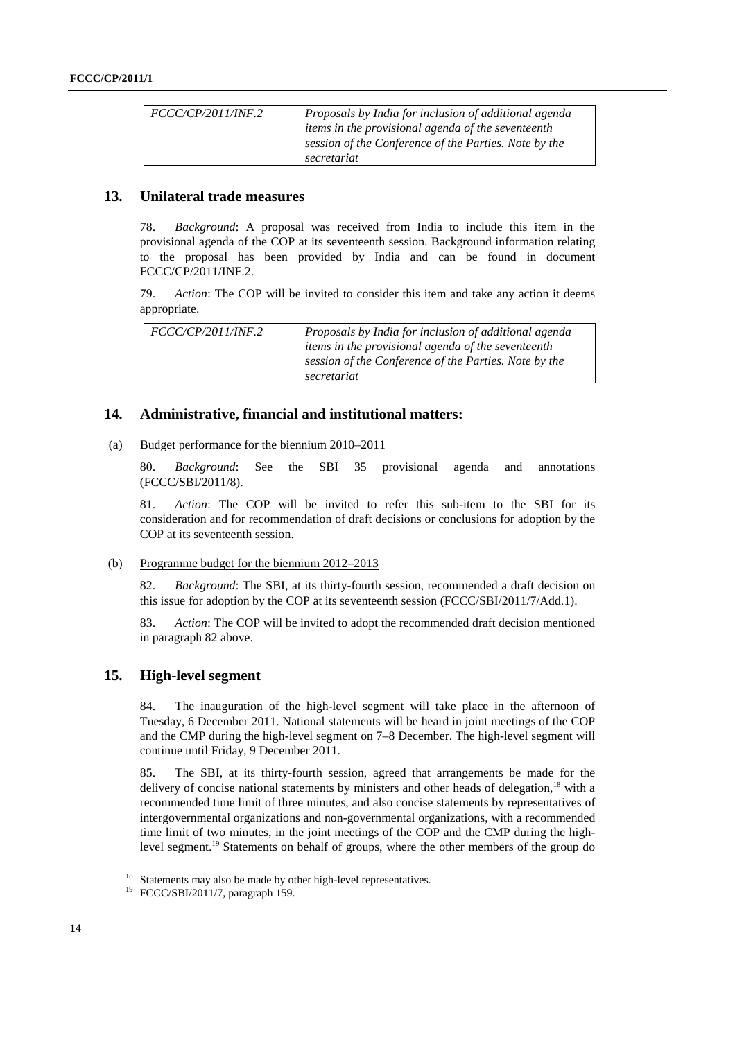| <i>FCCC/CP/2011/INF.2</i> | Proposals by India for inclusion of additional agenda |
|---------------------------|-------------------------------------------------------|
|                           | items in the provisional agenda of the seventeenth    |
|                           | session of the Conference of the Parties. Note by the |
|                           | secretariat                                           |

### **13. Unilateral trade measures**

78. *Background*: A proposal was received from India to include this item in the provisional agenda of the COP at its seventeenth session. Background information relating to the proposal has been provided by India and can be found in document FCCC/CP/2011/INF.2.

79. *Action*: The COP will be invited to consider this item and take any action it deems appropriate.

| <i>FCCC/CP/2011/INF.2</i> | Proposals by India for inclusion of additional agenda     |
|---------------------------|-----------------------------------------------------------|
|                           | <i>items in the provisional agenda of the seventeenth</i> |
|                           | session of the Conference of the Parties. Note by the     |
|                           | secretariat                                               |

### **14. Administrative, financial and institutional matters:**

#### (a) Budget performance for the biennium 2010–2011

80. *Background*: See the SBI 35 provisional agenda and annotations (FCCC/SBI/2011/8).

81. *Action*: The COP will be invited to refer this sub-item to the SBI for its consideration and for recommendation of draft decisions or conclusions for adoption by the COP at its seventeenth session.

#### (b) Programme budget for the biennium 2012–2013

82. *Background*: The SBI, at its thirty-fourth session, recommended a draft decision on this issue for adoption by the COP at its seventeenth session (FCCC/SBI/2011/7/Add.1).

83. *Action*: The COP will be invited to adopt the recommended draft decision mentioned in paragraph 82 above.

### **15. High-level segment**

84. The inauguration of the high-level segment will take place in the afternoon of Tuesday, 6 December 2011. National statements will be heard in joint meetings of the COP and the CMP during the high-level segment on 7–8 December. The high-level segment will continue until Friday, 9 December 2011.

85. The SBI, at its thirty-fourth session, agreed that arrangements be made for the delivery of concise national statements by ministers and other heads of delegation,<sup>18</sup> with a recommended time limit of three minutes, and also concise statements by representatives of intergovernmental organizations and non-governmental organizations, with a recommended time limit of two minutes, in the joint meetings of the COP and the CMP during the highlevel segment.19 Statements on behalf of groups, where the other members of the group do

<sup>&</sup>lt;sup>18</sup> Statements may also be made by other high-level representatives.

<sup>19</sup> FCCC/SBI/2011/7, paragraph 159.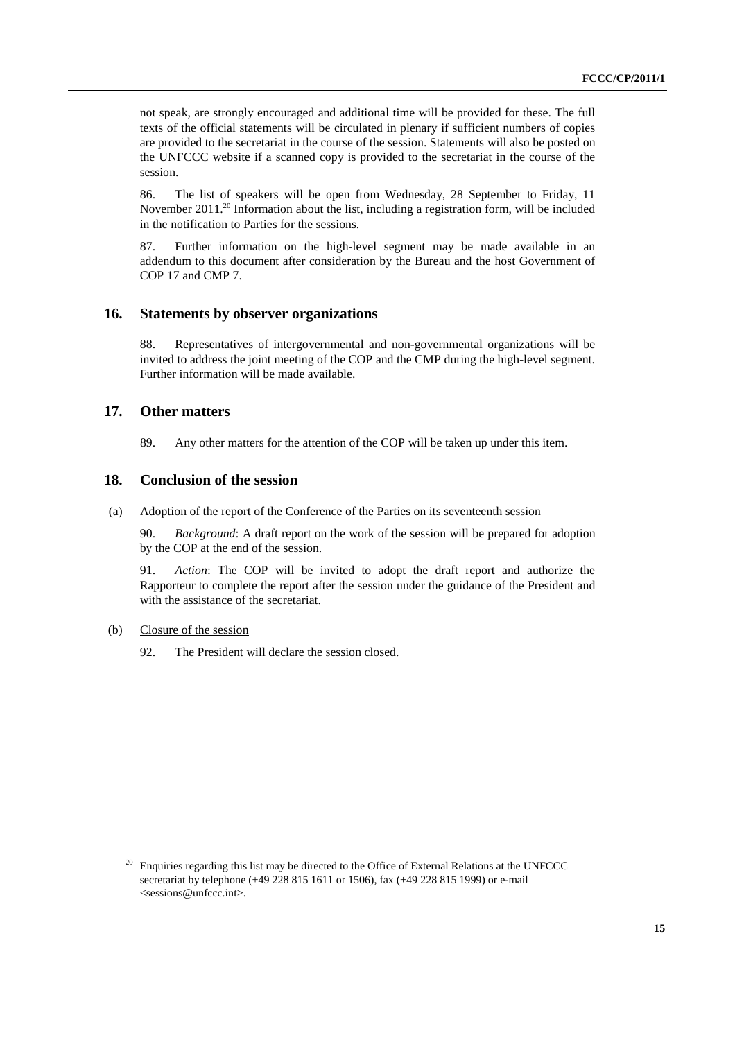not speak, are strongly encouraged and additional time will be provided for these. The full texts of the official statements will be circulated in plenary if sufficient numbers of copies are provided to the secretariat in the course of the session. Statements will also be posted on the UNFCCC website if a scanned copy is provided to the secretariat in the course of the session.

86. The list of speakers will be open from Wednesday, 28 September to Friday, 11 November 2011.<sup>20</sup> Information about the list, including a registration form, will be included in the notification to Parties for the sessions.

87. Further information on the high-level segment may be made available in an addendum to this document after consideration by the Bureau and the host Government of COP 17 and CMP 7.

### **16. Statements by observer organizations**

88. Representatives of intergovernmental and non-governmental organizations will be invited to address the joint meeting of the COP and the CMP during the high-level segment. Further information will be made available.

### **17. Other matters**

89. Any other matters for the attention of the COP will be taken up under this item.

### **18. Conclusion of the session**

#### (a) Adoption of the report of the Conference of the Parties on its seventeenth session

90. *Background*: A draft report on the work of the session will be prepared for adoption by the COP at the end of the session.

91. *Action*: The COP will be invited to adopt the draft report and authorize the Rapporteur to complete the report after the session under the guidance of the President and with the assistance of the secretariat.

#### (b) Closure of the session

92. The President will declare the session closed.

<sup>&</sup>lt;sup>20</sup> Enquiries regarding this list may be directed to the Office of External Relations at the UNFCCC secretariat by telephone (+49 228 815 1611 or 1506), fax (+49 228 815 1999) or e-mail <sessions@unfccc.int>.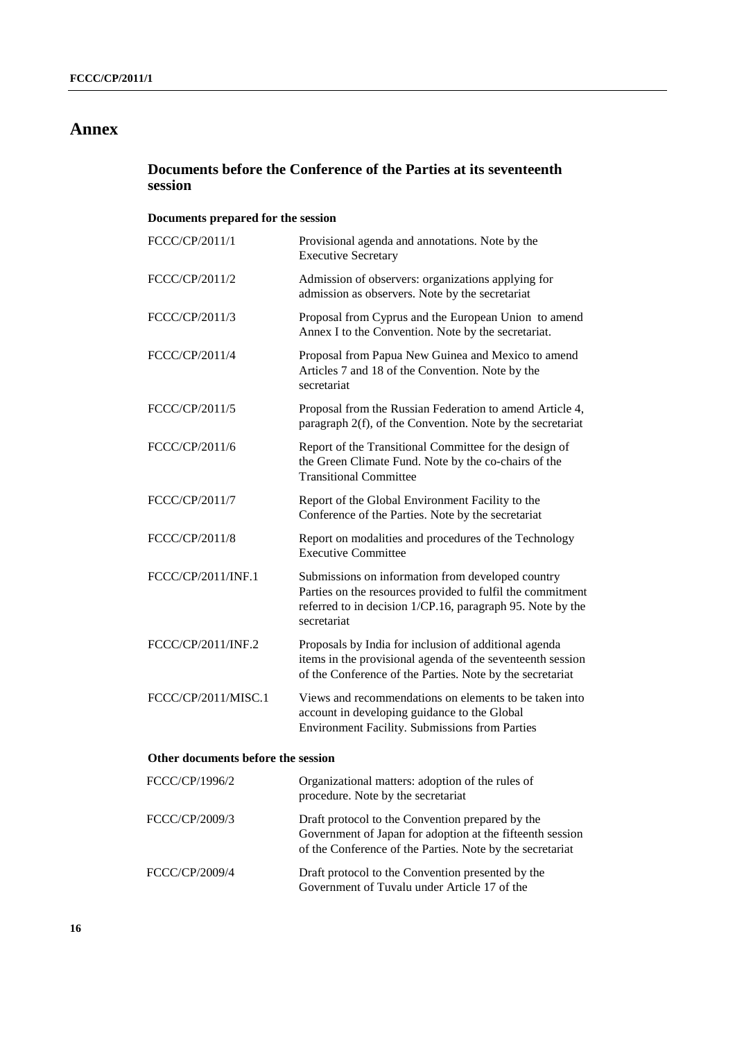## **Annex**

## **Documents before the Conference of the Parties at its seventeenth session**

## **Documents prepared for the session**

| FCCC/CP/2011/1                     | Provisional agenda and annotations. Note by the<br><b>Executive Secretary</b>                                                                                                                |
|------------------------------------|----------------------------------------------------------------------------------------------------------------------------------------------------------------------------------------------|
| FCCC/CP/2011/2                     | Admission of observers: organizations applying for<br>admission as observers. Note by the secretariat                                                                                        |
| FCCC/CP/2011/3                     | Proposal from Cyprus and the European Union to amend<br>Annex I to the Convention. Note by the secretariat.                                                                                  |
| FCCC/CP/2011/4                     | Proposal from Papua New Guinea and Mexico to amend<br>Articles 7 and 18 of the Convention. Note by the<br>secretariat                                                                        |
| FCCC/CP/2011/5                     | Proposal from the Russian Federation to amend Article 4,<br>paragraph 2(f), of the Convention. Note by the secretariat                                                                       |
| FCCC/CP/2011/6                     | Report of the Transitional Committee for the design of<br>the Green Climate Fund. Note by the co-chairs of the<br><b>Transitional Committee</b>                                              |
| FCCC/CP/2011/7                     | Report of the Global Environment Facility to the<br>Conference of the Parties. Note by the secretariat                                                                                       |
| FCCC/CP/2011/8                     | Report on modalities and procedures of the Technology<br><b>Executive Committee</b>                                                                                                          |
| FCCC/CP/2011/INF.1                 | Submissions on information from developed country<br>Parties on the resources provided to fulfil the commitment<br>referred to in decision 1/CP.16, paragraph 95. Note by the<br>secretariat |
| FCCC/CP/2011/INF.2                 | Proposals by India for inclusion of additional agenda<br>items in the provisional agenda of the seventeenth session<br>of the Conference of the Parties. Note by the secretariat             |
| FCCC/CP/2011/MISC.1                | Views and recommendations on elements to be taken into<br>account in developing guidance to the Global<br>Environment Facility. Submissions from Parties                                     |
| Other documents before the session |                                                                                                                                                                                              |
| FCCC/CP/1996/2                     | Organizational matters: adoption of the rules of<br>procedure. Note by the secretariat                                                                                                       |
| FCCC/CP/2009/3                     | Draft protocol to the Convention prepared by the<br>Government of Japan for adoption at the fifteenth session<br>of the Conference of the Parties. Note by the secretariat                   |
| FCCC/CP/2009/4                     | Draft protocol to the Convention presented by the<br>Government of Tuvalu under Article 17 of the                                                                                            |